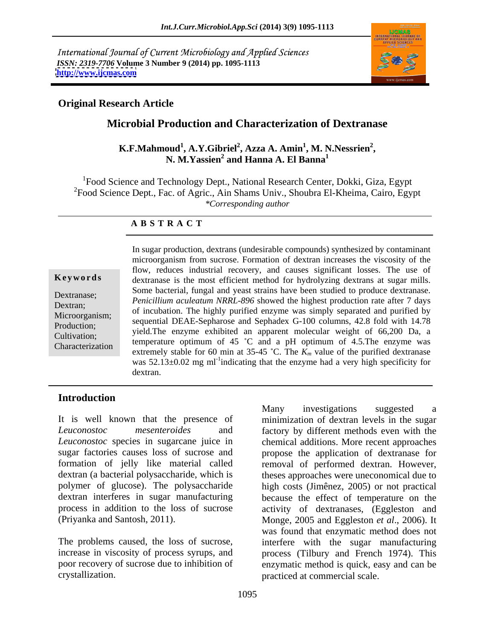International Journal of Current Microbiology and Applied Sciences *ISSN: 2319-7706* **Volume 3 Number 9 (2014) pp. 1095-1113 <http://www.ijcmas.com>**



### **Original Research Article**

## **Microbial Production and Characterization of Dextranase**

#### **K.F.Mahmoud<sup>1</sup> , A.Y.Gibriel<sup>2</sup> , Azza A. Amin<sup>1</sup> , M. N.Nessrien<sup>2</sup> ,** N. M.Yassien<sup>2</sup> and Hanna A. El Banna<sup>1</sup>  **and Hanna A. El Banna<sup>1</sup>**

<sup>1</sup>Food Science and Technology Dept., National Research Center, Dokki, Giza, Egypt  $^{2}$ Food Science Dept., Fac. of Agric., Ain Shams Univ., Shoubra El-Kheima, Cairo, Egypt *\*Corresponding author* 

### **A B S T R A C T**

**Keywords** dextranase is the most efficient method for hydrolyzing dextrans at sugar mills. Dextranase; *Penicillium aculeatum NRRL-896* showed the highest production rate after 7 days Dextran;<br>Micrographism: of incubation. The highly purified enzyme was simply separated and purified by Microorganism; but included on. The highly purified enzyme was simply separated and purified by<br>Production: sequential DEAE-Sepharose and Sephadex G-100 columns, 42.8 fold with 14.78 Production;<br>Cultivation: yield.The enzyme exhibited an apparent molecular weight of 66,200 Da, a Cultivation;<br>Characterization temperature optimum of 45  $^{\circ}$ C and a pH optimum of 4.5. The enzyme was Characterization extremely stable for 60 min at  $35-45$  °C. The  $K_m$  value of the purified dextranase In sugar production, dextrans (undesirable compounds) synthesized by contaminant microorganism from sucrose. Formation of dextran increases the viscosity of the flow, reduces industrial recovery, and causes significant losses. The use of Some bacterial, fungal and yeast strains have been studied to produce dextranase. was  $52.13\pm0.02$  mg ml<sup>-1</sup>indicating that the enzyme had a very high specificity for dextran.

### **Introduction**

It is well known that the presence of minimization of dextran levels in the sugar *Leuconostoc mesenteroides* and factory by different methods even with the *Leuconostoc* species in sugarcane juice in chemical additions. More recent approaches sugar factories causes loss of sucrose and propose the application of dextranase for formation of jelly like material called removal of performed dextran. However, dextran (a bacterial polysaccharide, which is theses approaches were uneconomical due to polymer of glucose). The polysaccharide high costs (Jimênez, 2005) or not practical dextran interferes in sugar manufacturing because the effect of temperature on the process in addition to the loss of sucrose activity of dextranases, (Eggleston and (Priyanka and Santosh, 2011). Monge, 2005 and Eggleston *et al*., 2006). It The problems caused, the loss of sucrose, interfere with the sugar manufacturing increase in viscosity of process syrups, and process (Tilbury and French 1974). This poor recovery of sucrose due to inhibition of enzymatic method is quick, easy and can be Many investigations suggested a<br> *Leuconostoc* mesenteroides and minimization of dextran levels in the sugar<br> *Leuconostoc* species in sugarcane juice in factory by different methods even with the<br> *Leuconostoc* species in was found that enzymatic method does not practiced at commercial scale.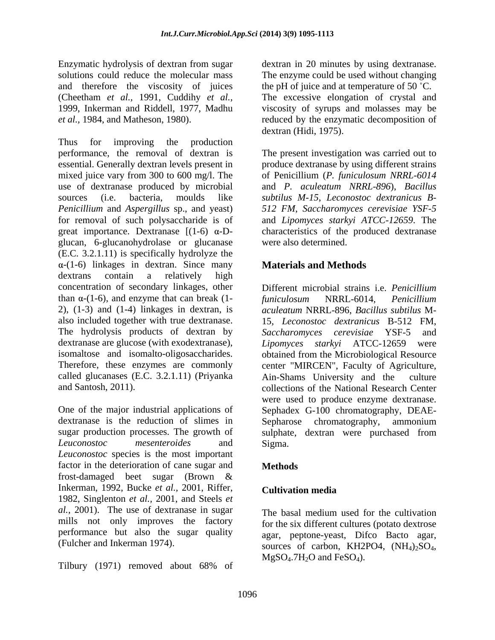Enzymatic hydrolysis of dextran from sugar dextran in 20 minutes by using dextranase. solutions could reduce the molecular mass The enzyme could be used without changing and therefore the viscosity of juices the pH of juice and at temperature of 50 °C. (Cheetham *et al.,* 1991, Cuddihy *et al.,* The excessive elongation of crystal and 1999, Inkerman and Riddell, 1977, Madhu viscosity of syrups and molasses may be *et al.,* 1984, and Matheson, 1980). reduced by the enzymatic decomposition of

Thus for improving the production performance, the removal of dextran is The present investigation was carried out to essential. Generally dextran levels present in produce dextranase by using different strains mixed juice vary from 300 to 600 mg/l. The of Penicillium (*P. funiculosum NRRL-6014*  use of dextranase produced by microbial sources (i.e. bacteria, moulds like *subtilus M-15*, *Leconostoc dextranicus B- Penicillium* and *Aspergillus* sp., and yeast) *512 FM*, *Saccharomyces cerevisiae YSF-5* for removal of such polysaccharide is of and *Lipomyces starkyi ATCC-12659*. The great importance. Dextranase  $[(1-6) \alpha-D-$  characteristics of the produced dextranase glucan, 6-glucanohydrolase or glucanase (E.C. 3.2.1.11) is specifically hydrolyze the  $\alpha$ -(1-6) linkages in dextran. Since many **Materials and Methods** dextrans contain a relatively high concentration of secondary linkages, other than  $\alpha$ -(1-6), and enzyme that can break (1- funiculosum NRRL-6014, Penicillium 2), (1-3) and (1-4) linkages in dextran, is *aculeatum* NRRL-896, *Bacillus subtilus* M also included together with true dextranase. The hydrolysis products of dextran by Saccharomyces cerevisiae YSF-5 and dextranase are glucose (with exodextranase), *Lipomyces* starky ATCC-12659 were isomaltose and isomalto-oligosaccharides. obtained from the Microbiological Resource Therefore, these enzymes are commonly center "MIRCEN", Faculty of Agriculture, called glucanases (E.C. 3.2.1.11) (Priyanka

dextranase is the reduction of slimes in Sepharose chromatography, ammonium sugar production processes. The growth of sulphate, dextran were purchased from *Leuconostoc mesenteroides* and *Leuconostoc* species is the most important factor in the deterioration of cane sugar and **Methods** frost-damaged beet sugar (Brown & Inkerman, 1992, Bucke *et al.,* 2001, Riffer, 1982, Singlenton *et al.,* 2001, and Steels *et al.,* 2001). The use of dextranase in sugar mills not only improves the factory performance but also the sugar quality

Tilbury (1971) removed about 68% of

dextran (Hidi, 1975).

and *P. aculeatum NRRL-896*), *Bacillus*  were also determined.

### **Materials and Methods**

and Santosh, 2011).<br>
ollections of the National Research Center<br>
One of the major industrial applications of Sephadex G-100 chromatography, DEAE-Different microbial strains i.e. *Penicillium funiculosum* NRRL-6014, *Penicillium*  15, *Leconostoc dextranicus* B-512 FM, *Saccharomyces cerevisiae* YSF-5 and *Lipomyces starkyi* ATCC-12659 Ain-Shams University and the collections of the National Research Center were used to produce enzyme dextranase. Sephadex G-100 chromatography, DEAE- Sepharose chromatography, sulphate, dextran were purchased from Sigma.

### **Methods**

### **Cultivation media**

(Fulcher and Inkerman 1974).<br>
sources of carbon, KH2PO4,  $(NH_4)_2SO_4$ ,<br>  $MgSO_4.7H_2O$  and FeSO<sub>4</sub>). The basal medium used for the cultivation for the six different cultures (potato dextrose agar, peptone-yeast, Difco Bacto agar,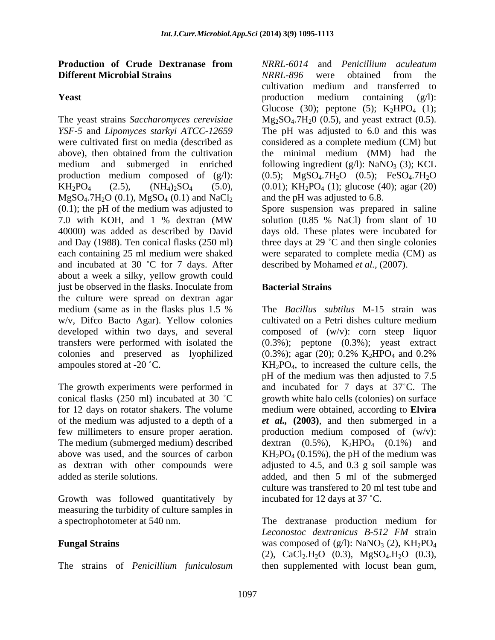#### **Production of Crude Dextranase from Different Microbial Strains** 6. *NRRL-896* were obtained from the

 $MgSO<sub>4</sub>.7H<sub>2</sub>O (0.1), MgSO<sub>4</sub> (0.1) and NaCl<sub>2</sub>$ (0.1); the pH of the medium was adjusted to Spore suspension was prepared in saline 7.0 with KOH, and 1 % dextran (MW 40000) was added as described by David days old. These plates were incubated for and Day (1988). Ten conical flasks (250 ml) three days at 29 °C and then single colonies each containing 25 ml medium were shaked were separated to complete media (CM) as and incubated at 30  $^{\circ}$ C for 7 days. After about a week a silky, yellow growth could just be observed in the flasks. Inoculate from **Bacterial Strains** the culture were spread on dextran agar medium (same as in the flasks plus 1.5 % colonies and preserved as lyophilized  $(0.3\%)$ ; agar (20); 0.2% K<sub>2</sub>HPO<sub>4</sub> and 0.2%

conical flasks (250 ml) incubated at 30 °C

Growth was followed quantitatively by measuring the turbidity of culture samples in

The strains of *Penicillium funiculosum* then supplemented with locust bean gum,

**Yeast** production medium containing (g/l): The yeast strains *Saccharomyces cerevisiae* Mg<sub>2</sub>SO<sub>4</sub>.7H<sub>2</sub>0 (0.5), and yeast extract (0.5). *YSF-5* and *Lipomyces starkyi ATCC-12659* The pH was adjusted to 6.0 and this was were cultivated first on media (described as considered as a complete medium (CM) but above), then obtained from the cultivation the minimal medium (MM) had the medium and submerged in enriched following ingredient  $(g/l)$ : NaNO<sub>3</sub> (3); KCL production medium composed of  $(g/1)$ :  $(0.5)$ ;  $MgSO<sub>4</sub>.7H<sub>2</sub>O$   $(0.5)$ ;  $FeSO<sub>4</sub>.7H<sub>2</sub>O$  $KH_2PO_4$  (2.5),  $(NH_4)_2SO_4$  (5.0), (0.01);  $KH_2PO_4$  (1); glucose (40); agar (20) *NRRL-6014* and *Penicillium aculeatum NRRL-896* were obtained from the cultivation medium and transferred to production medium containing (g/l): Glucose (30); peptone (5);  $K_2HPO_4$  (1); and the pH was adjusted to 6.8.

> solution (0.85 % NaCl) from slant of 10 described by Mohamed *et al.,* (2007).

### **Bacterial Strains**

w/v, Difco Bacto Agar). Yellow colonies cultivated on a Petri dishes culture medium developed within two days, and several composed of (w/v): corn steep liquor transfers were performed with isolated the (0.3%); peptone (0.3%); yeast extract ampoules stored at -20  $\degree$ C. KH<sub>2</sub>PO<sub>4</sub>, to increased the culture cells, the The growth experiments were performed in and incubated for 7 days at 37<sup>°</sup>C. The for 12 days on rotator shakers. The volume medium were obtained, according to **Elvira**  of the medium was adjusted to a depth of a *et al.,* **(2003)**, and then submerged in a few millimeters to ensure proper aeration. production medium composed of  $(w/v)$ : The medium (submerged medium) described  $\alpha$  dextran (0.5%),  $K_2HPO_4$  (0.1%) and above was used, and the sources of carbon  $KH_2PO_4(0.15\%)$ , the pH of the medium was as dextran with other compounds were adjusted to 4.5, and 0.3 g soil sample was added as sterile solutions. added, and then 5 ml of the submerged The *Bacillus subtilus* M-15 strain was  $(0.3\%)$ ; agar (20); 0.2% K<sub>2</sub>HPO<sub>4</sub> and 0.2% pH of the medium was then adjusted to 7.5 growth white halo cells (colonies) on surface culture was transfered to 20 ml test tube and incubated for 12 days at 37 °C.

a spectrophotometer at 540 nm. The dextranase production medium for **Fungal Strains** was composed of (g/l): NaNO<sub>3</sub> (2), KH<sub>2</sub>PO<sub>4</sub> *Leconostoc dextranicus B-512 FM* strain (2), CaCl<sub>2</sub>.H<sub>2</sub>O (0.3), MgSO<sub>4</sub>.H<sub>2</sub>O (0.3),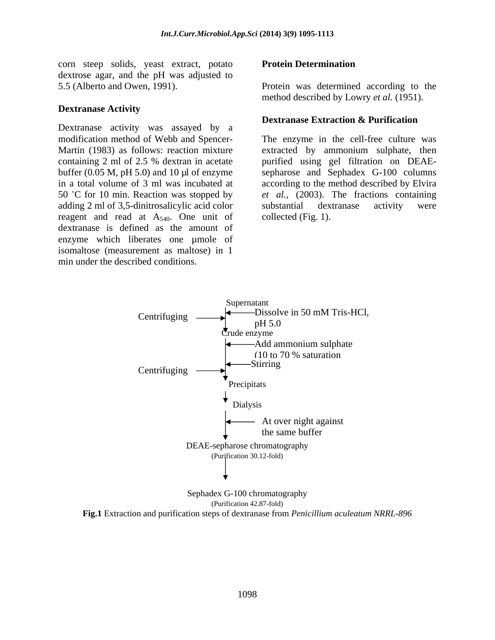corn steep solids, yeast extract, potato Protein Determination dextrose agar, and the pH was adjusted to

#### **Dextranase Activity**

Dextranase activity was assayed by a adding 2 ml of 3,5-dinitrosalicylic acid color substantial dextranase activity were reagent and read at  $A_{540}$ . One unit of dextranase is defined as the amount of enzyme which liberates one µmole of isomaltose (measurement as maltose) in 1 min under the described conditions.

#### **Protein Determination**

5.5 (Alberto and Owen, 1991). Protein was determined according to the method described by Lowry *et al.* (1951).

#### **Dextranase Extraction & Purification**

modification method of Webb and Spencer- The enzyme in the cell-free culture was Martin (1983) as follows: reaction mixture extracted by ammonium sulphate, then containing 2 ml of 2.5 % dextran in acetate purified using gel filtration on DEAE buffer (0.05 M, pH 5.0) and 10 µl of enzyme sepharose and Sephadex G-100 columns in a total volume of 3 ml was incubated at according to the method described by Elvira 50 °C for 10 min. Reaction was stopped by *et al.*, (2003). The fractions containing substantial dextranase activity were collected (Fig. 1).



Sephadex G-100 chromatography (Purification 42.87-fold)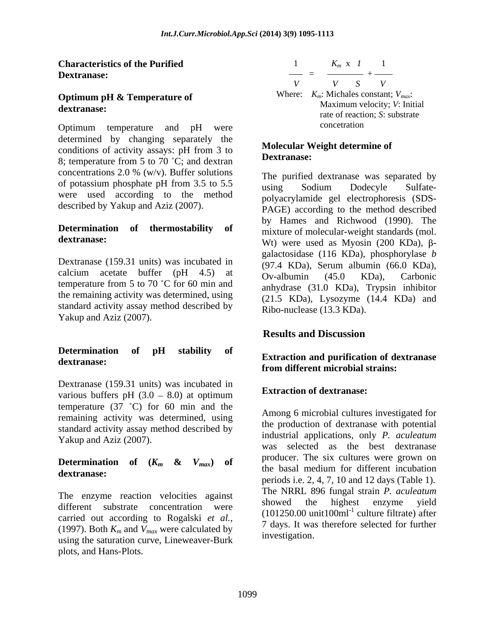## **Optimum pH & Temperature of**

Optimum temperature and pH were determined by changing separately the conditions of activity assays:  $pH$  from 3 to **NOICCULAR WITH**  $\alpha$ 8; temperature from 5 to 70  $^{\circ}$ C; and dextran concentrations 2.0 % (w/v). Buffer solutions  $\Gamma$  are nurified dextrange was senarated by of potassium phosphate pH from 3.5 to 5.5 using Sodium Dodecyle Sulfate-<br>were used according to the method polygorylamide gel electrophoresis (SDS) described by Yakup and Aziz (2007).

## **Determination of thermostability of**

Dextranase (159.31 units) was incubated in calcium acetate buffer  $(pH 4.5)$  at  $Qv$ -albumin  $(45.0 \text{ KDa})$ . Carbonic temperature from 5 to 70  $^{\circ}$ C for 60 min and the remaining activity was determined, using standard activity assay method described by Yakup and Aziz (2007).

## **Determination of pH stability of**

Dextranase (159.31 units) was incubated in various buffers pH  $(3.0 - 8.0)$  at optimum temperature  $(37 \text{ °C})$  for 60 min and the remaining activity was determined, using standard activity assay method described by Yakup and Aziz (2007).

The enzyme reaction velocities against the NKKL 890 lungar strain *F*. acquirement relation of the showed the highest enzyme yield different substrate concentration were carried out according to Rogalski *et al.,* (1997). Both  $K_m$  and  $V_{max}$  were calculated by using the saturation curve, Lineweaver-Burk plots, and Hans-Plots.



#### **Molecular Weight determine of Dextranase:**

of potassium phosphate pH from  $3.5$  to  $5.5$  is the solum condex potation of  $\frac{1}{2}$  $\frac{d}{dx}$  dextranase: Wt) were used as Myosin (200 KDa),  $\beta$ -The purified dextranase was separated by using Sodium Dodecyle Sulfate polyacrylamide gel electrophoresis (SDS- PAGE) according to the method described by Hames and Richwood (1990). The mixture of molecular-weight standards (mol. galactosidase (116 KDa), phosphorylase *b* (97.4 KDa), Serum albumin (66.0 KDa), Ov-albumin (45.0 KDa), Carbonic anhydrase (31.0 KDa), Trypsin inhibitor (21.5 KDa), Lysozyme (14.4 KDa) and Ribo-nuclease (13.3 KDa).

### **Results and Discussion**

### **dextranase:**<br> **Extraction** and purification of dextranase<br> **Extraction** and purification of dextranase **from different microbial strains:**

### **Extraction of dextranase:**

**Determination** of  $(K_m \& V_{max})$  of producer. The six currence serve grown on dextranase:<br>
periods i.e. 2, 4, 7, 10 and 12 days (Table 1). Among 6 microbial cultures investigated for the production of dextranase with potential industrial applications, only *P. aculeatum* was selected as the best dextranase producer. The six cultures were grown on the basal medium for different incubation The NRRL 896 fungal strain *P. aculeatum* showed the highest enzyme yield  $(101250.00 \text{ unit}100 \text{ml}^{-1} \text{ culture filter})$  after culture filtrate) after 7 days. It was therefore selected for further investigation.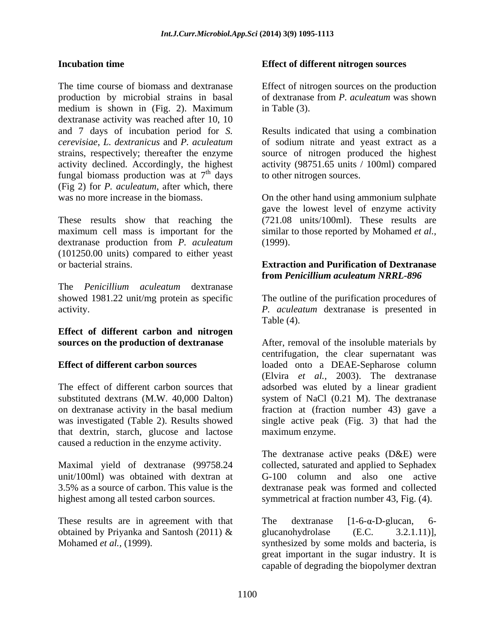The time course of biomass and dextranase Effect of nitrogen sources on the production production by microbial strains in basal medium is shown in (Fig. 2). Maximum in Table (3). dextranase activity was reached after 10, 10 and 7 days of incubation period for *S.*  Results indicated that using a combination *cerevisiae*, *L. dextranicus* and *P. aculeatum* of sodium nitrate and yeast extract as a strains, respectively; thereafter the enzyme source of nitrogen produced the highest activity declined. Accordingly, the highest activity (98751.65 units / 100ml) compared fungal biomass production was at  $7<sup>th</sup>$  days (Fig 2) for *P. aculeatum*, after which, there Excretistion time<br>
Effect of different nitrogen sources<br>
The interesting of production<br>
production by microbial strains in basal of determines from the contents of the production<br>
recolled the shown in (Fig. 2). Navienna

These results show that reaching the maximum cell mass is important for the similar to those reported by Mohamed *et al.,* dextranase production from *P. aculeatum* (101250.00 units) compared to either yeast or bacterial strains. **Extraction and Purification of Dextranase** 

The *Penicillium aculeatum* dextranase showed 1981.22 unit/mg protein as specific

## **Effect of different carbon and nitrogen**

that dextrin, starch, glucose and lactose caused a reduction in the enzyme activity.

Maximal yield of dextranase (99758.24 3.5% as a source of carbon. This value is the

These results are in agreement with that The dextranase  $[1-6-\alpha-D-g]u$ can, 6obtained by Priyanka and Santosh (2011)  $\&$  glucanohydrolase (E.C. 3.2.1.11)],

#### **Incubation time Incubation time Incubation time Incubation time Incubation in the Effect of different nitrogen sources**

of dextranase from *P. aculeatum* was shown in Table (3).

<sup>th</sup> days to other nitrogen sources. to other nitrogen sources.

was no more increase in the biomass. On the other hand using ammonium sulphate gave the lowest level of enzyme activity (721.08 units/100ml). These results are (1999).

## **from** *Penicillium aculeatum NRRL-896*

activity. *P. aculeatum* dextranase is presented in The outline of the purification procedures of Table (4).

**sources on the production of dextranase** After, removal of the insoluble materials by **Effect of different carbon sources** loaded onto a DEAE-Sepharose column The effect of different carbon sources that adsorbed was eluted by a linear gradient substituted dextrans (M.W. 40,000 Dalton) system of NaCl (0.21 M). The dextranase on dextranase activity in the basal medium fraction at (fraction number 43) gave a was investigated (Table 2). Results showed single active peak (Fig. 3) that had the centrifugation, the clear supernatant was (Elvira *et al.,* 2003). The dextranase maximum enzyme.

unit/100ml) was obtained with dextran at G-100 column and also one active highest among all tested carbon sources. symmetrical at fraction number 43, Fig. (4). The dextranase active peaks (D&E) were collected, saturated and applied to Sephadex dextranase peak was formed and collected

> The dextranase  $[1-6-\alpha-D-g]u can$ , 6glucanohydrolase (E.C. 3.2.1.11)], synthesized by some molds and bacteria, is great important in the sugar industry. It is capable of degrading the biopolymer dextran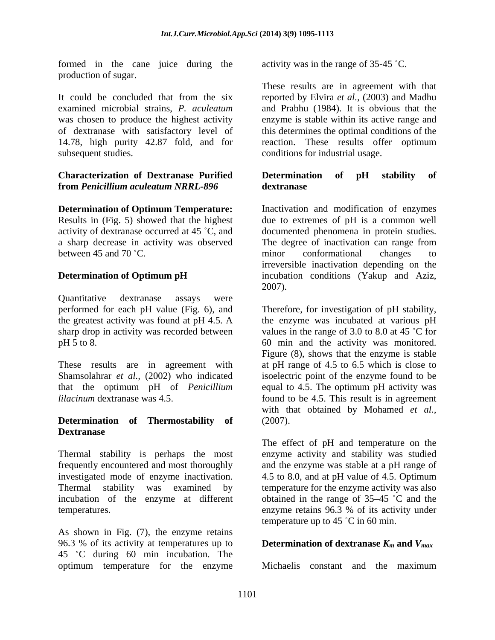formed in the cane juice during the production of sugar.

It could be concluded that from the six reported by Elvira *et al.,* (2003) and Madhu examined microbial strains, *P. aculeatum* and Prabhu (1984). It is obvious that the was chosen to produce the highest activity enzyme is stable within its active range and of dextranase with satisfactory level of this determines the optimal conditions of the 14.78, high purity 42.87 fold, and for reaction. These results offer optimum subsequent studies. The conditions for industrial usage.

### **Characterization of Dextranase Purified from** *Penicillium aculeatum NRRL-896*

between 45 and 70 °C. The minor conformational changes to

Quantitative dextranase assays were

### **Determination of Thermostability of Dextranase**

investigated mode of enzyme inactivation.

As shown in Fig. (7), the enzyme retains 96.3 % of its activity at temperatures up to **Determination of dextranase**  $K_m$  and  $V_{max}$ 45 C during 60 min incubation. The optimum temperature for the enzyme

activity was in the range of 35-45 °C.

These results are in agreement with that reaction. These results offer optimum

#### **Determination of pH stability of dextranase**

**Determination of Optimum Temperature:** Inactivation and modification of enzymes Results in (Fig. 5) showed that the highest due to extremes of pH is a common well activity of dextranase occurred at 45 °C, and documented phenomena in protein studies. a sharp decrease in activity was observed The degree of inactivation can range from **Determination of Optimum pH** incubation conditions (Yakup and Aziz, minor conformational changes to irreversible inactivation depending on the 2007).

performed for each pH value (Fig. 6), and Therefore, for investigation of pH stability, the greatest activity was found at pH 4.5. A the enzyme was incubated at various pH sharp drop in activity was recorded between values in the range of 3.0 to 8.0 at 45 °C for pH 5 to 8. 60 min and the activity was monitored. These results are in agreement with at pH range of 4.5 to 6.5 which is close to Shamsolahrar *et al.,* (2002) who indicated isoelectric point of the enzyme found to be that the optimum pH of *Penicillium* equal to 4.5. The optimum pH activity was *lilacinum* dextranase was 4.5. This result is in agreement Figure (8), shows that the enzyme is stable with that obtained by Mohamed *et al.,* (2007).

Thermal stability is perhaps the most enzyme activity and stability was studied frequently encountered and most thoroughly and the enzyme was stableat a pH range of Thermal stability was examined by temperature for the enzyme activity was also incubation of the enzyme at different obtained in the range of 35–45 °C and the temperatures. enzyme retains 96.3 % of its activity under The effect of pH and temperature on the 4.5 to 8.0, and at pH value of 4.5. Optimum temperature up to 45  $^{\circ}$ C in 60 min.

Michaelis constant and the maximum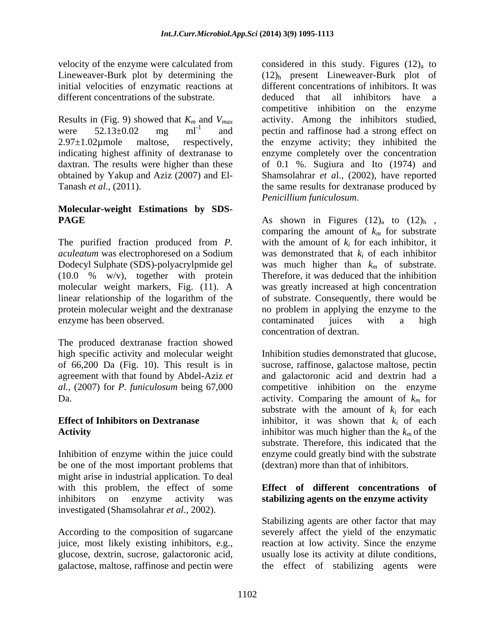velocity of the enzyme were calculated from considered in this study. Figures  $(12)<sub>a</sub>$  to initial velocities of enzymatic reactions at different concentrations of the substrate.  $\qquad \qquad$  deduced that all inhibitors have a

obtained by Yakup and Aziz (2007) and El-

# **Molecular-weight Estimations by SDS-**

The purified fraction produced from *P.*  enzyme has been observed. The contaminated increase with a high

The produced dextranase fraction showed high specific activity and molecular weight

Inhibition of enzyme within the juice could be one of the most important problems that might arise in industrial application. To deal with this problem, the effect of some **Effect of different concentrations of** inhibitors on enzyme activity was **stabilizing agents on the enzyme activity** investigated (Shamsolahrar *et al.,* 2002).

Lineweaver-Burk plot by determining the  $(12)$ <sub>h</sub> present Lineweaver-Burk plot of Results in (Fig. 9) showed that  $K_m$  and  $V_{max}$  activity. Among the inhibitors studied, were  $52.13 \pm 0.02$  mg ml<sup>-1</sup> and pectin and raffinose had a strong effect on  $2.97 \pm 1.02 \mu$  maltose, respectively, the enzyme activity; they inhibited the indicating highest affinity of dextranase to enzyme completely over the concentration daxtran. The results were higher than these of 0.1 %. Sugiura and Ito (1974) and Tanash *et al.*, (2011). Tanash *et al.*, (2011). different concentrations of inhibitors. It was deduced that all inhibitors have a competitive inhibition on the enzyme Shamsolahrar *et a*l., (2002), have reported *Penicillium funiculosum*.

**PAGE** As shown in Figures  $(12)$ <sub>a</sub> to  $(12)$ <sub>h</sub>, *aculeatum* was electrophoresed on a Sodium was demonstrated that *ki* of each inhibitor Dodecyl Sulphate (SDS)-polyacrylpmide gel was much higher than *km* of substrate. (10.0 % w/v), together with protein Therefore, it was deduced that the inhibition molecular weight markers, Fig. (11). A was greatly increased at high concentration linear relationship of the logarithm of the of substrate. Consequently, there would be protein molecular weight and the dextranase no problem in applying the enzyme to the comparing the amount of  $k_m$  for substrate with the amount of  $k_i$  for each inhibitor, it contaminated juices with a high concentration of dextran.

of 66,200 Da (Fig. 10). This result is in sucrose, raffinose, galactose maltose, pectin agreement with that found by Abdel-Aziz *et*  and galactoronic acid and dextrin had a *al.,* (2007) for *P. funiculosum* being 67,000 competitive inhibition on the enzyme Da. **activity.** Comparing the amount of  $k_m$  for **Effect of Inhibitors on Dextranase** inhibitor, it was shown that  $k_i$  of each Activity **Activity inhibitor** was much higher than the  $k_m$  of the Inhibition studies demonstrated that glucose, substrate with the amount of  $k_i$  for each substrate. Therefore, this indicated that the enzyme could greatly bind with the substrate (dextran) more than that of inhibitors.

According to the composition of sugarcane severely affect the yield of the enzymatic juice, most likely existing inhibitors, e.g., reaction at low activity. Since the enzyme glucose, dextrin, sucrose, galactoronic acid, usually lose its activity at dilute conditions, galactose, maltose, raffinose and pectin were the effect of stabilizing agents wereStabilizing agents are other factor that may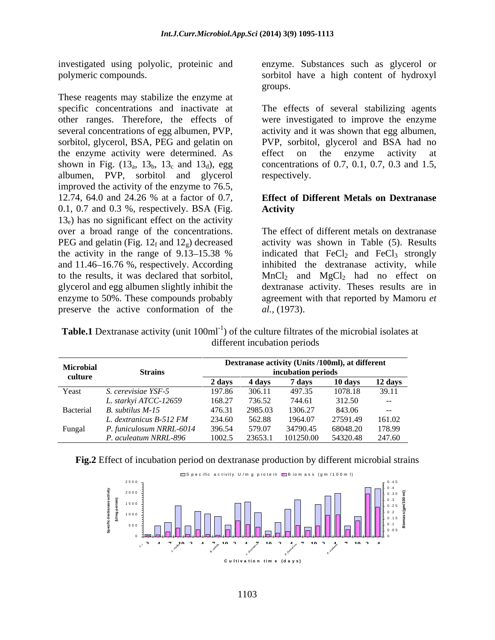investigated using polyolic, proteinic and

These reagents may stabilize the enzyme at other ranges. Therefore, the effects of the enzyme activity were determined. As effect on the enzyme activity at albumen, PVP, sorbitol and glycerol improved the activity of the enzyme to 76.5, 12.74, 64.0 and 24.26 % at a factor of 0.7, **Effect of Different Metals on Dextranase** 0.1, 0.7 and 0.3 %, respectively. BSA (Fig. **Activity**  $13<sub>e</sub>$ ) has no significant effect on the activity over a broad range of the concentrations. The effect of different metals on dextranase PEG and gelatin (Fig. 12<sub>f</sub> and 12<sub>g</sub>) decreased activity was shown in Table (5). Results the activity in the range of 9.13–15.38 % indicated that  $\text{FeCl}_2$  and  $\text{FeCl}_3$  strongly and 11.46 16.76 %, respectively. According inhibited the dextranase activity, while to the results, it was declared that sorbitol,  $MnCl<sub>2</sub>$  and  $MgCl<sub>2</sub>$  had no effect on glycerol and egg albumen slightly inhibit the dextranase activity. Theses results are in enzyme to 50%. These compounds probably agreement with that reported by Mamoru *et*  preserve the active conformation of the

polymeric compounds. sorbitol have a high content of hydroxyl enzyme. Substances such as glycerol or groups.

specific concentrations and inactivate at The effects of several stabilizing agents several concentrations of egg albumen, PVP, activity and it was shown that egg albumen, sorbitol, glycerol, BSA, PEG and gelatin on PVP, sorbitol, glycerol and BSA had no shown in Fig.  $(13_a, 13_b, 13_c, and 13_d)$ , egg concentrations of 0.7, 0.1, 0.7, 0.3 and 1.5, were investigated to improve the enzyme effect on the enzyme activity at respectively.

### **Effect of Different Metals on Dextranase Activity**

*al.,* (1973).

**Table.1** Dextranase activity (unit 100ml<sup>-1</sup>) of the culture filtrates of the microbial isolates at different incubation periods

| <b>Microbial</b> | <b>Strains</b>                |        |                     | incubation periods | Dextranase activity (Units /100ml), at different |            |
|------------------|-------------------------------|--------|---------------------|--------------------|--------------------------------------------------|------------|
| culture          |                               | 2 days | 4 davs              | davs               | 10 days                                          | 12 days    |
| Yeast            | . cerevisiae YSF-5            | 197.86 | 306.1 <sup>-1</sup> | 497.35             | 1078.18                                          | 39.11      |
|                  | L. starkyi ATCC-12659         | 168.27 | 736.52              | 744.61             | 312.50                                           | $\sim 100$ |
|                  | Bacterial B. subtilus M-15    | 476.31 | 2985.03             | 1306.27            | 843.06                                           | $- - -$    |
|                  | L. dextranicus B-512 FM       | 234.60 | 562.88              | 1964.07            | 27591.49                                         | 161.02     |
| Fungal           | niculosum NRRL-6014<br>типіси | 396.54 |                     | 34790.45           | 68048.20                                         | 178.99     |
|                  | . aculeatum NRRL-896          | 1002.5 |                     |                    | 23653.1 101250.00 54320.48 247.60                |            |



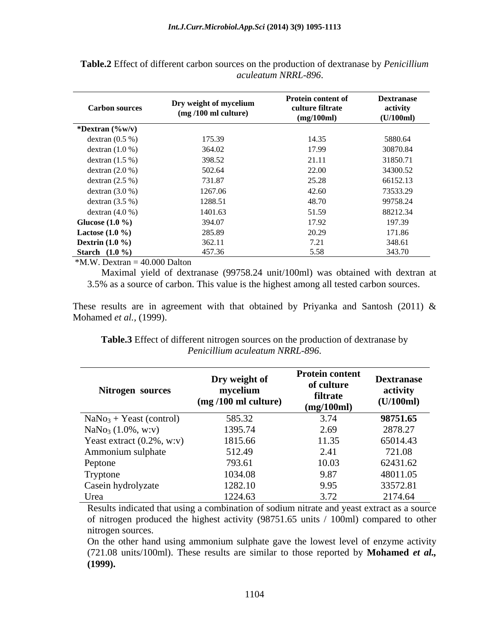| <b>Carbon sources</b>    | Dry weight of mycelium       | Protein content of<br>culture filtrate | <b>Dextranase</b><br>activity |
|--------------------------|------------------------------|----------------------------------------|-------------------------------|
|                          | $\frac{mq}{100}$ ml culture) | (mg/100ml)                             | (U/100ml)                     |
| *Dextran $(\%w/v)$       |                              |                                        |                               |
| dextran $(0.5\%)$        | 175.39                       | 14.35                                  | 5880.64                       |
| dextran $(1.0 %)$        | 364.02                       | 17.99                                  | 30870.84                      |
| dextran $(1.5\%)$        | 398.52                       | 21.11                                  | 31850.71                      |
| dextran $(2.0 %)$        | 502.64                       | 22.00                                  | 34300.52                      |
| dextran $(2.5\%)$        | 731.87                       | 25.28                                  | 66152.13                      |
| dextran $(3.0 %)$        | 1267.06                      | 42.60                                  | 73533.29                      |
| dextran $(3.5\%)$        | 1288.51                      | 48.70                                  | 99758.24                      |
| dextran $(4.0 %)$        | 1401.63                      | 51.59                                  | 88212.34                      |
| Glucose $(1.0\%)$        | 394.07                       | 17.92                                  | 197.39                        |
| <b>Lactose</b> $(1.0\%)$ | 285.89                       | 20.29                                  | 171.86                        |
| Dextrin $(1.0\%)$        | 362.11                       | 7.01<br>1.21                           | 348.61                        |
| <b>Starch</b> $(1.0\%)$  | 457.36                       | 5.58                                   | 343.70                        |

**Table.2** Effect of different carbon sources on the production of dextranase by *Penicillium aculeatum NRRL-896*.

 $*M.W.$  Dextran = 40.000 Dalton

 Maximal yield of dextranase (99758.24 unit/100ml) was obtained with dextran at 3.5% as a source of carbon. This value is the highest among all tested carbon sources.

These results are in agreement with that obtained by Priyanka and Santosh (2011)  $\&$ Mohamed *et al.,* (1999).

**Table.3** Effect of different nitrogen sources on the production of dextranase by *Penicillium aculeatum NRRL-896*.

| Nitrogen sources             | Dry weight of<br>mycelium<br>$\frac{mq}{100}$ ml culture) | <b>Protein content</b><br>of culture<br>filtrate<br>(mg/100ml) | <b>Dextranase</b><br>activity<br>(U/100ml) |
|------------------------------|-----------------------------------------------------------|----------------------------------------------------------------|--------------------------------------------|
| $NaNo3 + Yeast (control)$    | 585.32                                                    | 3.74                                                           | 98751.65                                   |
| $NaNo3 (1.0\%, w:v)$         | 1395.74                                                   | 2.69                                                           | 2878.27                                    |
| Yeast extract $(0.2\%, w:v)$ | 1815.66                                                   | 11.35                                                          | 65014.43                                   |
| Ammonium sulphate            | 512.49                                                    | 2.41                                                           | 721.08                                     |
| Peptone                      | 793.61                                                    | 10.03                                                          | 62431.62                                   |
| Tryptone                     | 1034.08                                                   | 9.87                                                           | 48011.05                                   |
| Casein hydrolyzate           | 1282.10                                                   | 9.95                                                           | 33572.81                                   |
| Urea                         | 1224.63                                                   | 3.72                                                           | 2174.64                                    |

Results indicated that using a combination of sodium nitrate and yeast extract as a source of nitrogen produced the highest activity (98751.65 units / 100ml) compared to other nitrogen sources.

On the other hand using ammonium sulphate gave the lowest level of enzyme activity (721.08 units/100ml). These results are similar to those reported by **Mohamed** *et al.,* **(1999).**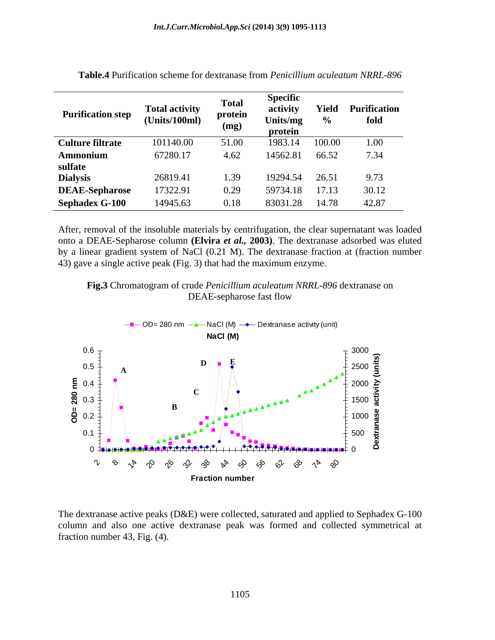|                                        |                       | <b>Total</b> | эресшс               |        |                           |
|----------------------------------------|-----------------------|--------------|----------------------|--------|---------------------------|
|                                        | <b>Total activity</b> |              |                      |        | <b>Yield Purification</b> |
| <b>Purification step</b>               | (Units/100ml)         | protein      | Units/mg             |        | fold                      |
|                                        |                       |              | protein              |        |                           |
| <b>Culture filtrate</b>                | 101140.00             | - 51.00      | 1983.14              | 100.00 | 1.00                      |
|                                        | 67280.17              | 4.62         | 14562.81 66.52 7.34  |        |                           |
|                                        |                       |              |                      |        |                           |
| <b>Ammonium</b><br>sulfate<br>Dialysis | 26819.41              | 1.39         | 19294.54             |        | 9.73                      |
| <b>DEAE-Sepharose</b>                  | 17322.91              | 0.29         | 59734.18 17.13 30.12 |        |                           |
| <b>Sephadex G-100</b>                  | 14945.63              | 0.18         | 83031.28 14.78 42.87 |        |                           |

| <b>Table.4</b> Purification scheme for dextranase from <i>Penicillium aculeatum NRRL-896</i> |  |  |
|----------------------------------------------------------------------------------------------|--|--|
|----------------------------------------------------------------------------------------------|--|--|

After, removal of the insoluble materials by centrifugation, the clear supernatant was loaded onto a DEAE-Sepharose column **(Elvira** *et al.,* **2003)**. The dextranase adsorbed was eluted by a linear gradient system of NaCl (0.21 M). The dextranase fraction at (fraction number 43) gave a single active peak (Fig. 3) that had the maximum enzyme.





The dextranase active peaks (D&E) were collected, saturated and applied to Sephadex G-100 column and also one active dextranase peak was formed and collected symmetrical at fraction number 43, Fig. (4).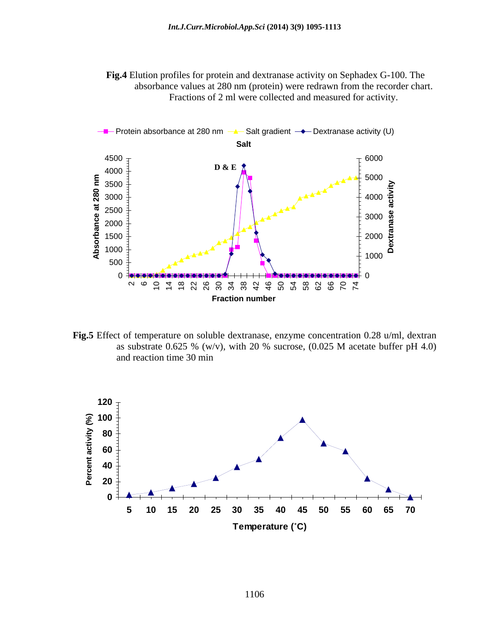**Fig.4** Elution profiles for protein and dextranase activity on Sephadex G-100. The absorbance values at 280 nm (protein) were redrawn from the recorder chart. Fractions of 2 ml were collected and measured for activity.



**Fig.5** Effect of temperature on soluble dextranase, enzyme concentration 0.28 u/ml, dextran as substrate 0.625 % (w/v), with 20 % sucrose,  $(0.025 \text{ M}$  acetate buffer pH 4.0) and reaction time 30 min

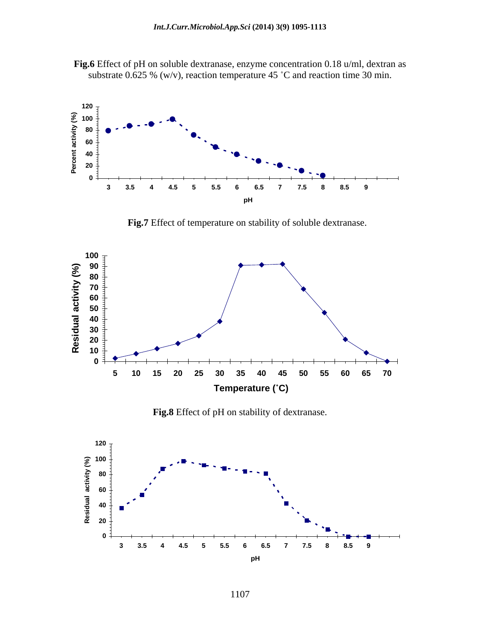



**Fig.7** Effect of temperature on stability of soluble dextranase.



**Fig.8** Effect of pH on stability of dextranase.

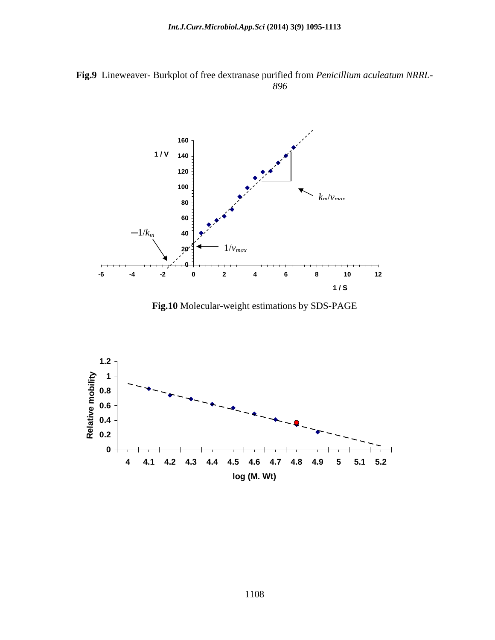**Fig.9** Lineweaver- Burkplot of free dextranase purified from *Penicillium aculeatum NRRL- 896*



**Fig.10** Molecular-weight estimations by SDS-PAGE

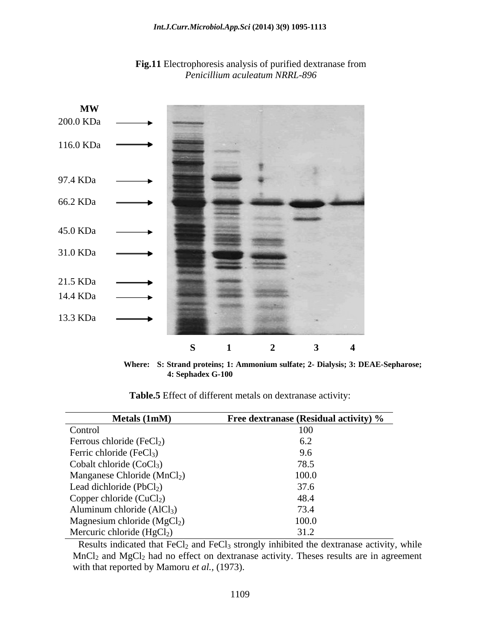

**Fig.11** Electrophoresis analysis of purified dextranase from *Penicillium aculeatum NRRL-896*

**Where: S: Strand proteins; 1: Ammonium sulfate; 2- Dialysis; 3: DEAE-Sepharose; 4: Sephadex G-100 Table.5** Effect of different metals on dextranase activity:

| <b>Metals (1mM)</b>                     | <b>Free dextranase (Residual activity) %</b> |
|-----------------------------------------|----------------------------------------------|
| Control                                 |                                              |
| Ferrous chloride $(FeCl2)$              |                                              |
| Ferric chloride $(FeCl3)$               |                                              |
| Cobalt chloride $(CoCl3)$               |                                              |
| Manganese Chloride (MnCl <sub>2</sub> ) |                                              |
| Lead dichloride $(PbCl2)$               |                                              |
| Copper chloride $(CuCl2)$               |                                              |
| Aluminum chloride $(AlCl3)$             |                                              |
| Magnesium chloride (MgCl <sub>2</sub> ) |                                              |
| Mercuric chloride $(HgCl2)$             |                                              |

Results indicated that  $FeCl<sub>2</sub>$  and  $FeCl<sub>3</sub>$  strongly inhibited the dextranase activity, while  $MnCl<sub>2</sub>$  and  $MgCl<sub>2</sub>$  had no effect on dextranase activity. Theses results are in agreement with that reported by Mamoru *et al.,* (1973).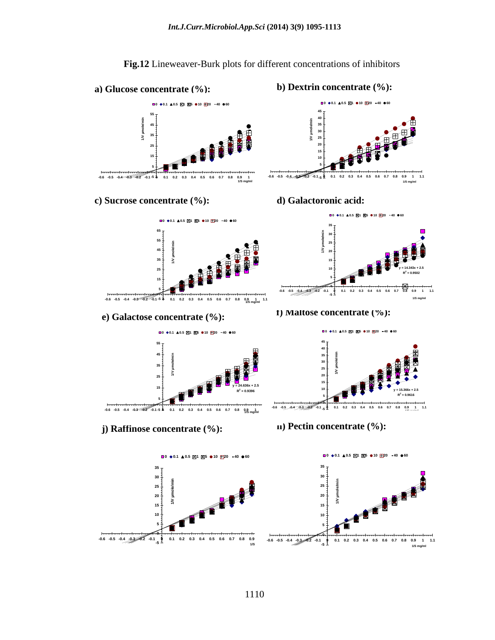

**Fig.12** Lineweaver-Burk plots for different concentrations of inhibitors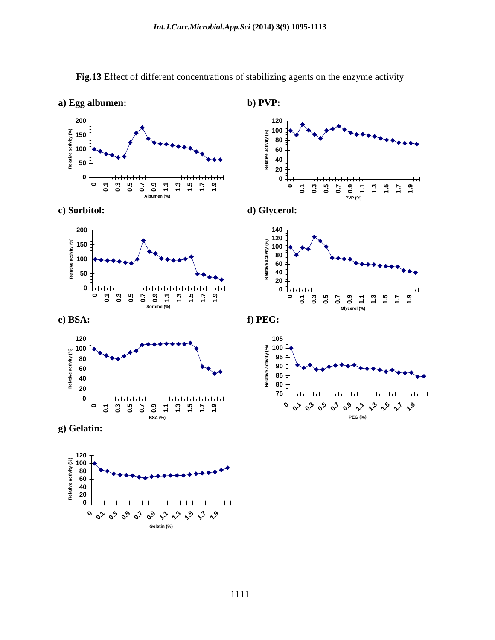![](_page_16_Figure_1.jpeg)

**Fig.13** Effect of different concentrations of stabilizing agents on the enzyme activity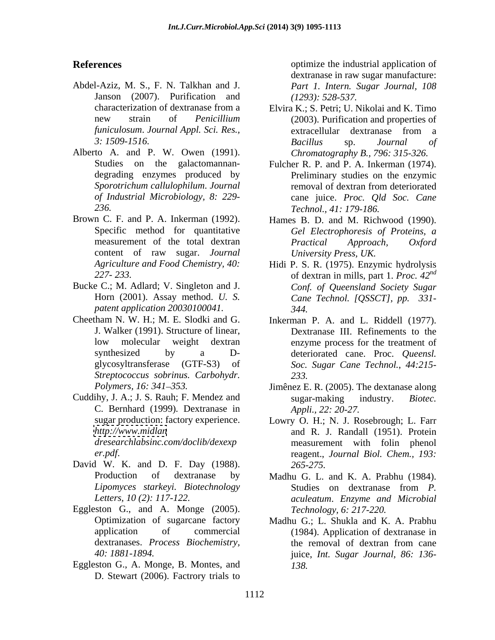- Abdel-Aziz, M. S., F. N. Talkhan and J. Janson (2007). Purification and
- Alberto A. and P. W. Owen (1991). degrading enzymes produced by
- Brown C. F. and P. A. Inkerman (1992). Hames B. D. and M. Richwood (1990).
- Bucke C.; M. Adlard; V. Singleton and J. *patent application 20030100041.*
- Cheetham N. W. H.; M. E. Slodki and G. Inkerman P. A. and L. Riddell (1977). J. Walker (1991). Structure of linear, *Streptococcus sobrinus. Carbohydr.*
- Cuddihy, J. A.; J. S. Rauh; F. Mendez and sugar-making industry. Biotec. C. Bernhard (1999)*.* Dextranase in sugar production: factory experience.
- David W. K. and D. F. Day (1988).
- Eggleston G., and A. Monge (2005).
- Eggleston G., A. Monge, B. Montes, and D. Stewart (2006). Factrory trials to

**References Conserverse Exercise 2.1 and 2.1 application of the industrial application of** dextranase in raw sugar manufacture: *Part 1. Intern. Sugar Journal, 108 (1293): 528-537.*

- characterization of dextranase from a Elvira K.; S. Petri; U. Nikolai and K. Timo new strain of *Penicillium*  (2003). Purification and properties of *funiculosum*. *Journal Appl. Sci. Res., 3: 1509-1516.* extracellular dextranase from a *Bacillus* sp. *Journal of Chromatography B., 796: 315-326.*
- Studies on the galactomannan- Fulcher R. P. and P. A. Inkerman (1974). *Sporotrichum callulophilum*. *Journal of Industrial Microbiology, 8: 229-* cane juice. *Proc. Qld Soc. Cane 236. Technol., 41: 179-186.* Preliminary studies on the enzymic removal of dextran from deteriorated
- Specific method for quantitative *Gel Electrophoresis of Proteins, a* measurement of the total dextran *Practical Approach*, *Oxford* content of raw sugar. *Journal University Press, UK. Practical Approach, Oxford University Press, UK.*
- *Agriculture and Food Chemistry, 40:* Hidi P. S. R. (1975). Enzymic hydrolysis *227- 233.* of dextran in mills, part 1. *Proc. 42* Horn (2001). Assay method. *U. S. Cane Technol. [QSSCT], pp. 331 nd Conf. of Queensland Society Sugar 344.*
- low molecular weight dextran enzyme process for the treatment of synthesized by a D- deteriorated cane. Proc. *Queensl.*  glycosyltransferase (GTF-S3) of *Soc. Sugar Cane Technol.*, *44:215-* Dextranase III. Refinements to the *233.*
- *Polymers, 16: 341–353.* Jimênez E. R. (2005). The dextanase along sugar-making industry. *Biotec. Appli., 22: 20-27.*
- *[http://www.midlan](//www.midlan)*  and R. J. Randall (1951). Protein *dresearchlabsinc.com/doclib/dexexp* measurement with folin phenol *er.pdf*. reagent., *Journal Biol. Chem., 193:* Lowry O. H.; N. J. Rosebrough; L. Farr *265-275.*
- Production of dextranase by Madhu G. L. and K. A. Prabhu (1984). *Lipomyces starkeyi. Biotechnology Letters, 10 (2): 117-122. aculeatum*. *Enzyme and Microbial* Studies on dextranase from *P. Technology, 6: 217-220.*
- Optimization of sugarcane factory Madhu G.; L. Shukla and K. A. Prabhu application of commercial (1984). Application of dextranase in dextranases. *Process Biochemistry, 40: 1881-1894.* juice, *Int. Sugar Journal, 86: 136* the removal of dextran from cane *138.*